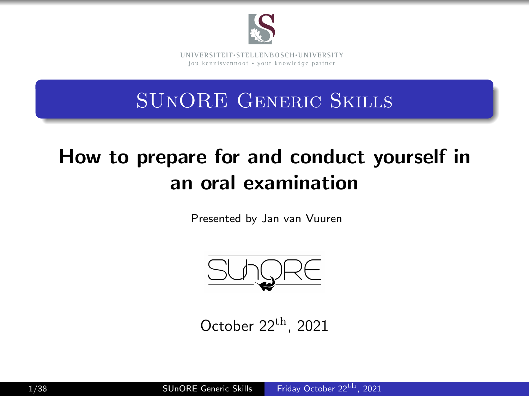

**UNI V E R SI T EI T**• **S T E L L EN BO S CH**•**UNI V E R SI T Y** jou kennisvennoot • vour knowledge partner

### SUnORE Generic Skills

# How to prepare for and conduct yourself in an oral examination

Presented by Jan van Vuuren



<span id="page-0-0"></span>October  $22^{\text{th}}$ , 2021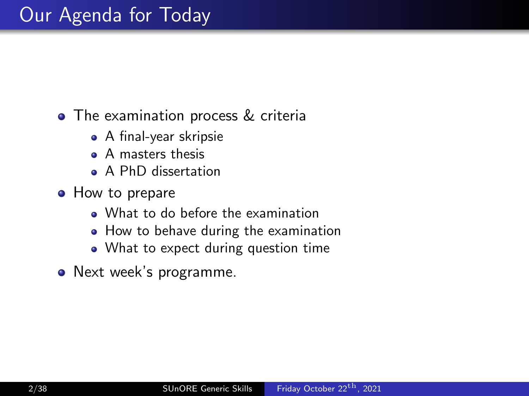### • The examination process & criteria

- A final-year skripsie
- A masters thesis
- A PhD dissertation
- How to prepare
	- What to do before the examination
	- How to behave during the examination
	- What to expect during question time
- Next week's programme.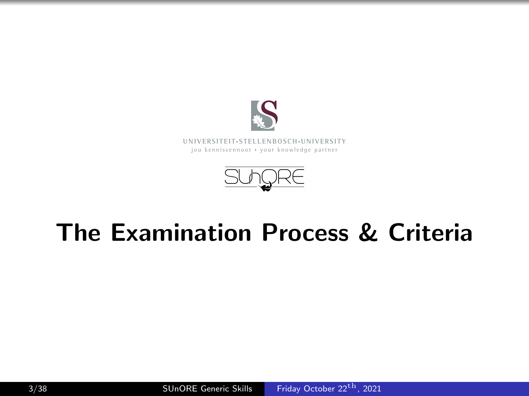

**UNI V E R SI T EI T**• **S T E L L EN BO S CH**•**UNI V E R SI T Y** jou kennisvennoot • your knowledge partner



# The Examination Process & Criteria

3/38 SUnORE Generic Skills [Friday October 22](#page-0-0)<sup>th</sup>, 2021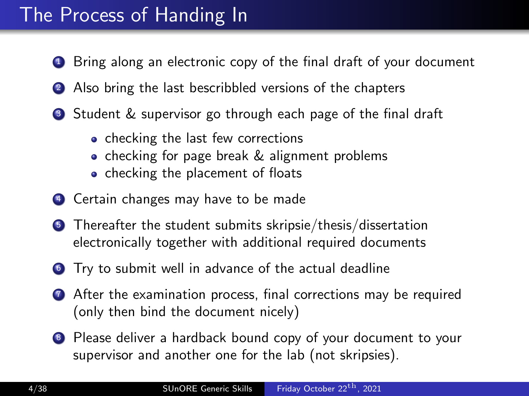### The Process of Handing In

- **1** Bring along an electronic copy of the final draft of your document
- 2 Also bring the last bescribbled versions of the chapters
- **3** Student & supervisor go through each page of the final draft
	- checking the last few corrections
	- checking for page break & alignment problems
	- checking the placement of floats
- <sup>4</sup> Certain changes may have to be made
- **•** Thereafter the student submits skripsie/thesis/dissertation electronically together with additional required documents
- <sup>6</sup> Try to submit well in advance of the actual deadline
- **2** After the examination process, final corrections may be required (only then bind the document nicely)
- <sup>8</sup> Please deliver a hardback bound copy of your document to your supervisor and another one for the lab (not skripsies).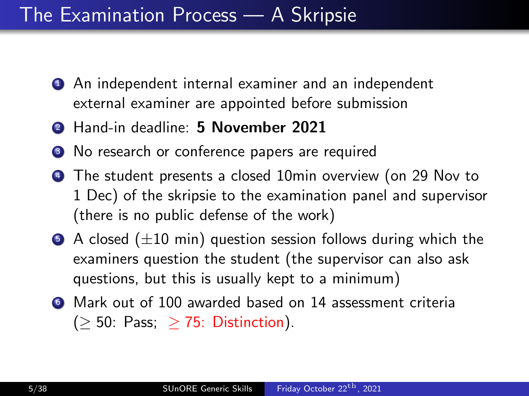### The Examination Process — A Skripsie

- **1** An independent internal examiner and an independent external examiner are appointed before submission
- <sup>2</sup> Hand-in deadline: 5 November 2021
- <sup>3</sup> No research or conference papers are required
- <sup>4</sup> The student presents a closed 10min overview (on 29 Nov to 1 Dec) of the skripsie to the examination panel and supervisor (there is no public defense of the work)
- $\bullet$  A closed ( $\pm 10$  min) question session follows during which the examiners question the student (the supervisor can also ask questions, but this is usually kept to a minimum)
- <sup>6</sup> Mark out of 100 awarded based on 14 assessment criteria  $(> 50: Pass; > 75: Distinction).$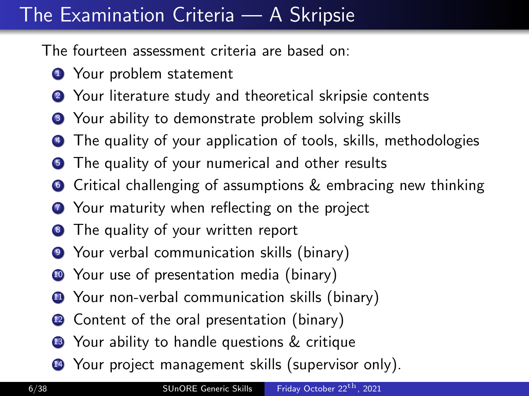## The Examination Criteria — A Skripsie

The fourteen assessment criteria are based on:

- **1** Your problem statement
- <sup>2</sup> Your literature study and theoretical skripsie contents
- <sup>3</sup> Your ability to demonstrate problem solving skills
- The quality of your application of tools, skills, methodologies
- **5** The quality of your numerical and other results
- **•** Critical challenging of assumptions & embracing new thinking
- **2** Your maturity when reflecting on the project
- <sup>8</sup> The quality of your written report
- <sup>9</sup> Your verbal communication skills (binary)
- **10** Your use of presentation media (binary)
- **11** Your non-verbal communication skills (binary)
- **2** Content of the oral presentation (binary)
- **3** Your ability to handle questions & critique
- **4** Your project management skills (supervisor only).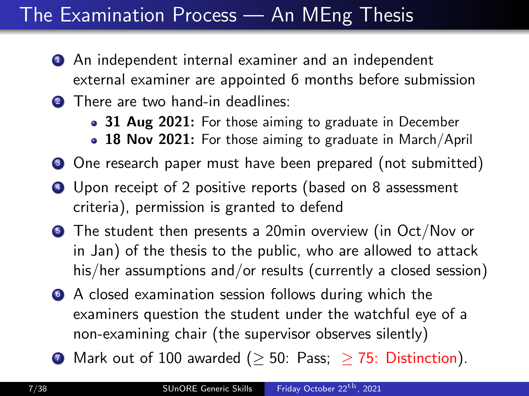### The Examination Process — An MEng Thesis

- **1** An independent internal examiner and an independent external examiner are appointed 6 months before submission
- **2** There are two hand-in deadlines:
	- 31 Aug 2021: For those aiming to graduate in December
	- 18 Nov 2021: For those aiming to graduate in March/April
- One research paper must have been prepared (not submitted)
- <sup>4</sup> Upon receipt of 2 positive reports (based on 8 assessment criteria), permission is granted to defend
- **The student then presents a 20min overview (in Oct/Nov or** in Jan) of the thesis to the public, who are allowed to attack his/her assumptions and/or results (currently a closed session)
- <sup>6</sup> A closed examination session follows during which the examiners question the student under the watchful eye of a non-examining chair (the supervisor observes silently)
- **1** Mark out of 100 awarded ( $\geq$  50: Pass;  $\geq$  75: Distinction).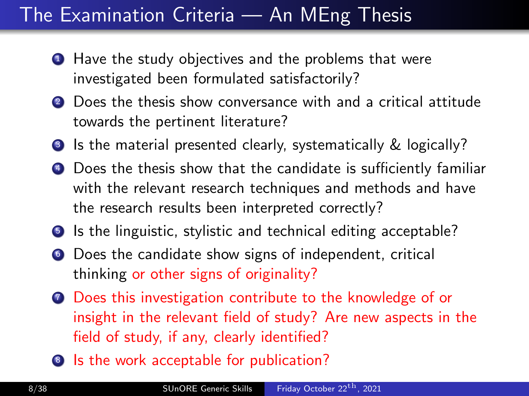### The Examination Criteria — An MEng Thesis

- Have the study objectives and the problems that were investigated been formulated satisfactorily?
- 2 Does the thesis show conversance with and a critical attitude towards the pertinent literature?
- **3** Is the material presented clearly, systematically & logically?
- <sup>4</sup> Does the thesis show that the candidate is sufficiently familiar with the relevant research techniques and methods and have the research results been interpreted correctly?
- **•** Is the linguistic, stylistic and technical editing acceptable?
- <sup>6</sup> Does the candidate show signs of independent, critical thinking or other signs of originality?
- *O* Does this investigation contribute to the knowledge of or insight in the relevant field of study? Are new aspects in the field of study, if any, clearly identified?
- 8 Is the work acceptable for publication?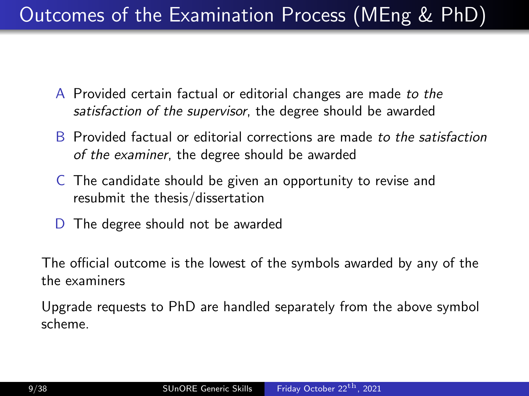## Outcomes of the Examination Process (MEng & PhD)

- A Provided certain factual or editorial changes are made to the satisfaction of the supervisor, the degree should be awarded
- B Provided factual or editorial corrections are made to the satisfaction of the examiner, the degree should be awarded
- C The candidate should be given an opportunity to revise and resubmit the thesis/dissertation
- D The degree should not be awarded

The official outcome is the lowest of the symbols awarded by any of the the examiners

Upgrade requests to PhD are handled separately from the above symbol scheme.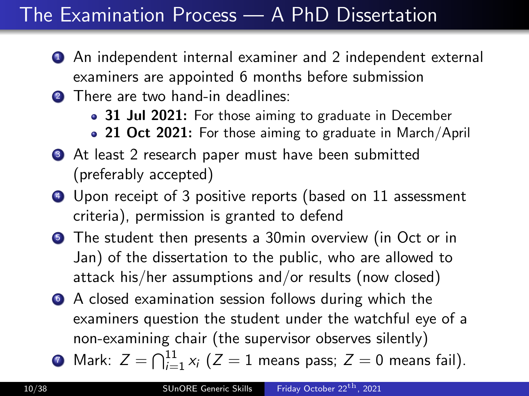### The Examination Process — A PhD Dissertation

- **1** An independent internal examiner and 2 independent external examiners are appointed 6 months before submission
- **2** There are two hand-in deadlines:
	- 31 Jul 2021: For those aiming to graduate in December
	- 21 Oct 2021: For those aiming to graduate in March/April
- **3** At least 2 research paper must have been submitted (preferably accepted)
- **4** Upon receipt of 3 positive reports (based on 11 assessment criteria), permission is granted to defend
- **The student then presents a 30min overview (in Oct or in** Jan) of the dissertation to the public, who are allowed to attack his/her assumptions and/or results (now closed)
- <sup>6</sup> A closed examination session follows during which the examiners question the student under the watchful eye of a non-examining chair (the supervisor observes silently)
- $\bullet$  Mark:  $Z = \bigcap_{i=1}^{11} x_i$   $(Z=1$  means pass;  $Z=0$  means fail).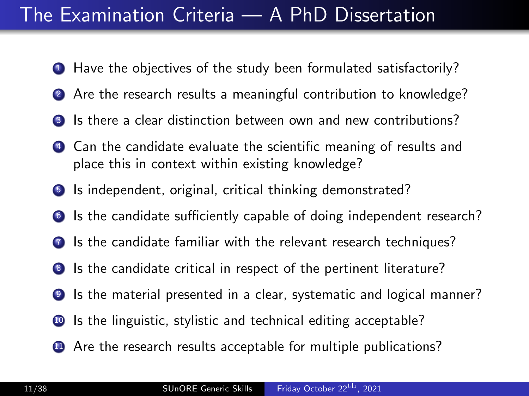### The Examination Criteria — A PhD Dissertation

- **1** Have the objectives of the study been formulated satisfactorily?
- 2 Are the research results a meaningful contribution to knowledge?
- **3** Is there a clear distinction between own and new contributions?
- <sup>4</sup> Can the candidate evaluate the scientific meaning of results and place this in context within existing knowledge?
- **5** Is independent, original, critical thinking demonstrated?
- <sup>6</sup> Is the candidate sufficiently capable of doing independent research?
- **2** Is the candidate familiar with the relevant research techniques?
- 8 Is the candidate critical in respect of the pertinent literature?
- <sup>9</sup> Is the material presented in a clear, systematic and logical manner?
- <sup>10</sup> Is the linguistic, stylistic and technical editing acceptable?
- **41** Are the research results acceptable for multiple publications?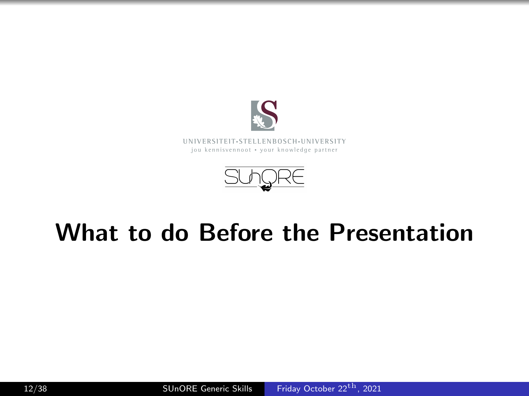

**UNI V E R SI T EI T**• **S T E L L EN BO S CH**•**UNI V E R SI T Y** jou kennisvennoot • your knowledge partner



# What to do Before the Presentation

12/38 SUnORE Generic Skills [Friday October 22](#page-0-0)<sup>th</sup>, 2021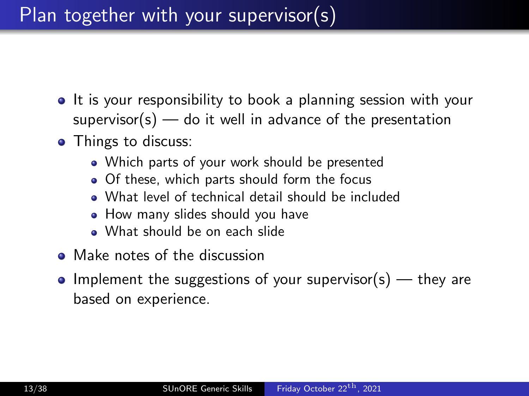### Plan together with your supervisor(s)

- It is your responsibility to book a planning session with your  $supervisor(s)$  — do it well in advance of the presentation
- Things to discuss:
	- Which parts of your work should be presented
	- Of these, which parts should form the focus
	- What level of technical detail should be included
	- How many slides should you have
	- What should be on each slide
- Make notes of the discussion
- Implement the suggestions of your supervisor(s)  $-$  they are based on experience.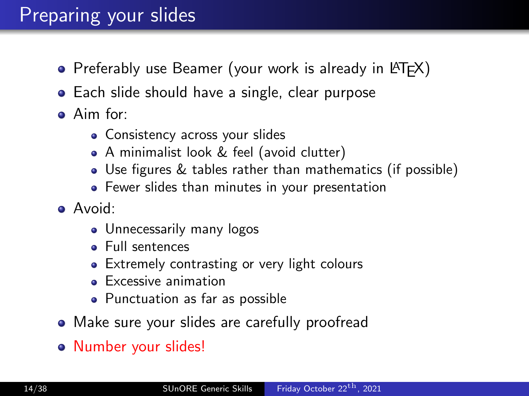### Preparing your slides

- Preferably use Beamer (your work is already in  $\langle \text{FTF} \rangle$ )
- Each slide should have a single, clear purpose
- Aim for:
	- Consistency across your slides
	- A minimalist look & feel (avoid clutter)
	- Use figures & tables rather than mathematics (if possible)
	- Fewer slides than minutes in your presentation
- Avoid:
	- Unnecessarily many logos
	- Full sentences
	- Extremely contrasting or very light colours
	- **Excessive animation**
	- Punctuation as far as possible
- Make sure your slides are carefully proofread
- Number your slides!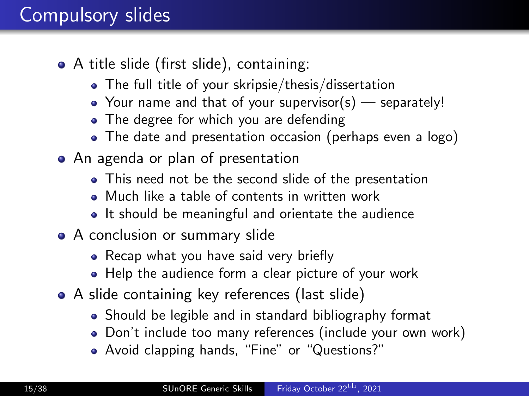### Compulsory slides

- A title slide (first slide), containing:
	- The full title of your skripsie/thesis/dissertation
	- Your name and that of your supervisor(s) separately!
	- The degree for which you are defending
	- The date and presentation occasion (perhaps even a logo)
- An agenda or plan of presentation
	- This need not be the second slide of the presentation
	- Much like a table of contents in written work
	- It should be meaningful and orientate the audience
- A conclusion or summary slide
	- Recap what you have said very briefly
	- Help the audience form a clear picture of your work
- A slide containing key references (last slide)
	- Should be legible and in standard bibliography format
	- Don't include too many references (include your own work)
	- Avoid clapping hands, "Fine" or "Questions?"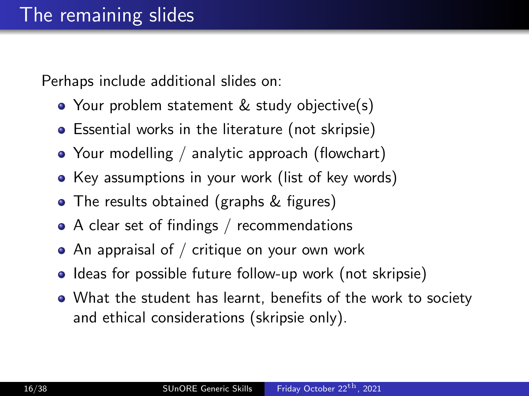Perhaps include additional slides on:

- Your problem statement & study objective(s)
- Essential works in the literature (not skripsie)
- Your modelling / analytic approach (flowchart)
- Key assumptions in your work (list of key words)
- The results obtained (graphs & figures)
- A clear set of findings / recommendations
- $\bullet$  An appraisal of / critique on your own work
- Ideas for possible future follow-up work (not skripsie)
- What the student has learnt, benefits of the work to society and ethical considerations (skripsie only).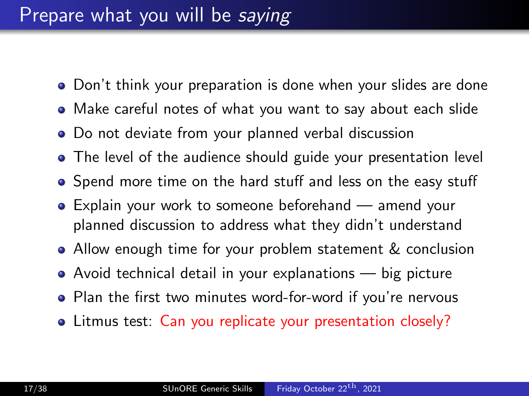### Prepare what you will be saying

- Don't think your preparation is done when your slides are done
- Make careful notes of what you want to say about each slide
- Do not deviate from your planned verbal discussion
- The level of the audience should guide your presentation level
- Spend more time on the hard stuff and less on the easy stuff
- Explain your work to someone beforehand amend your planned discussion to address what they didn't understand
- Allow enough time for your problem statement & conclusion
- Avoid technical detail in your explanations big picture
- Plan the first two minutes word-for-word if you're nervous
- Litmus test: Can you replicate your presentation closely?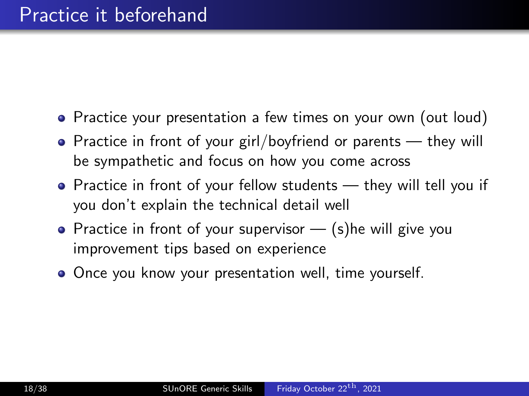- Practice your presentation a few times on your own (out loud)
- Practice in front of your girl/boyfriend or parents they will be sympathetic and focus on how you come across
- Practice in front of your fellow students they will tell you if you don't explain the technical detail well
- Practice in front of your supervisor  $-$  (s) he will give you improvement tips based on experience
- Once you know your presentation well, time yourself.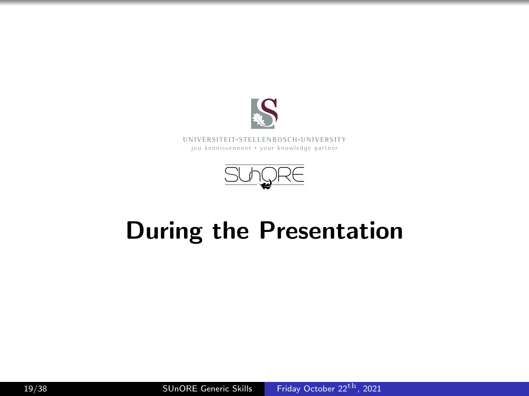

#### **UNI V E R SI T EI T**• **S T E L L EN BO S CH**•**UNI V E R SI T Y** jou kennisvennoot • your knowledge partner



# During the Presentation

19/38 SUnORE Generic Skills [Friday October 22](#page-0-0)<sup>th</sup>, 2021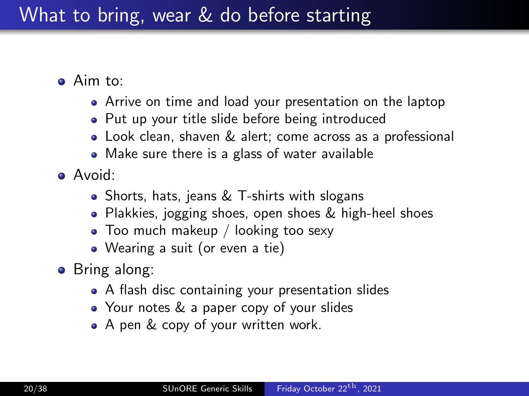### What to bring, wear & do before starting

- Aim to:
	- Arrive on time and load your presentation on the laptop
	- Put up your title slide before being introduced
	- Look clean, shaven & alert; come across as a professional
	- Make sure there is a glass of water available
- Avoid:
	- Shorts, hats, jeans & T-shirts with slogans
	- Plakkies, jogging shoes, open shoes & high-heel shoes
	- Too much makeup / looking too sexy
	- Wearing a suit (or even a tie)
- Bring along:
	- A flash disc containing your presentation slides
	- Your notes & a paper copy of your slides
	- A pen & copy of your written work.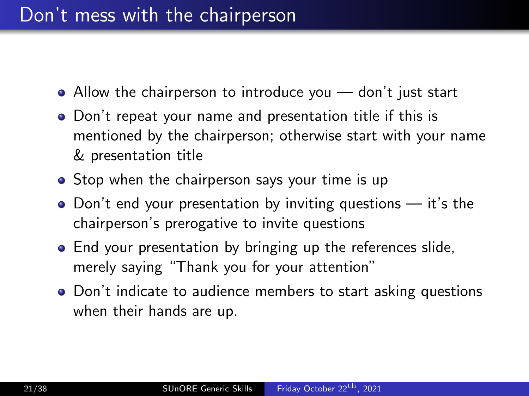- Allow the chairperson to introduce you don't just start
- Don't repeat your name and presentation title if this is mentioned by the chairperson; otherwise start with your name & presentation title
- Stop when the chairperson says your time is up
- $\bullet$  Don't end your presentation by inviting questions  $-$  it's the chairperson's prerogative to invite questions
- End your presentation by bringing up the references slide, merely saying "Thank you for your attention"
- Don't indicate to audience members to start asking questions when their hands are up.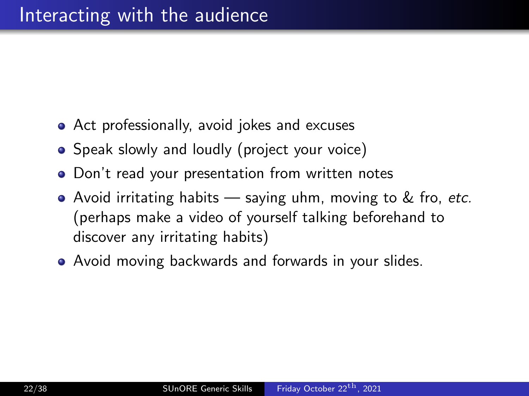- Act professionally, avoid jokes and excuses
- Speak slowly and loudly (project your voice)
- Don't read your presentation from written notes
- Avoid irritating habits  $-$  saying uhm, moving to  $\&$  fro, etc. (perhaps make a video of yourself talking beforehand to discover any irritating habits)
- Avoid moving backwards and forwards in your slides.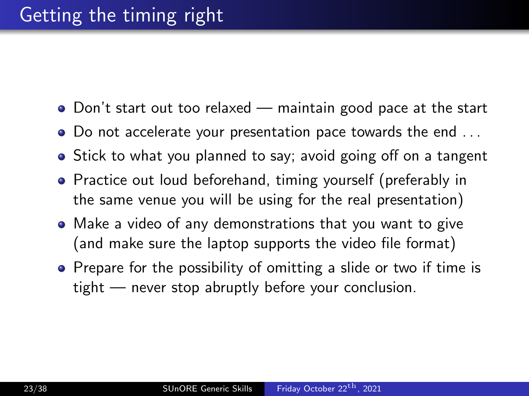- Don't start out too relaxed maintain good pace at the start
- Do not accelerate your presentation pace towards the end . . .
- Stick to what you planned to say; avoid going off on a tangent
- Practice out loud beforehand, timing yourself (preferably in the same venue you will be using for the real presentation)
- Make a video of any demonstrations that you want to give (and make sure the laptop supports the video file format)
- Prepare for the possibility of omitting a slide or two if time is tight — never stop abruptly before your conclusion.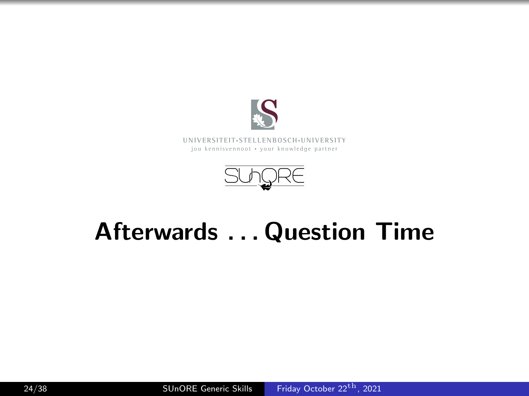

**UNI V E R SI T EI T**• **S T E L L EN BO S CH**•**UNI V E R SI T Y** jou kennisvennoot • your knowledge partner



# Afterwards . . . Question Time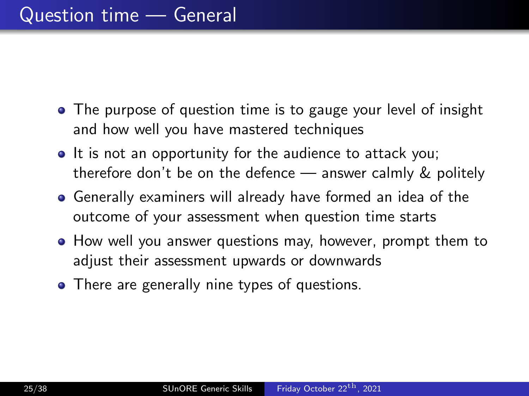- The purpose of question time is to gauge your level of insight and how well you have mastered techniques
- It is not an opportunity for the audience to attack you; therefore don't be on the defence — answer calmly & politely
- Generally examiners will already have formed an idea of the outcome of your assessment when question time starts
- How well you answer questions may, however, prompt them to adjust their assessment upwards or downwards
- There are generally nine types of questions.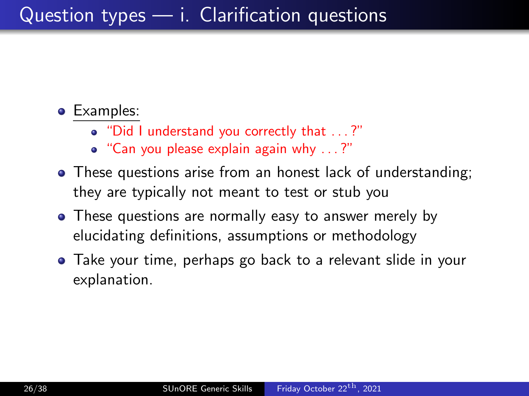### Question types — i. Clarification questions

- "Did I understand you correctly that . . . ?"
- "Can you please explain again why . . . ?"
- These questions arise from an honest lack of understanding; they are typically not meant to test or stub you
- These questions are normally easy to answer merely by elucidating definitions, assumptions or methodology
- Take your time, perhaps go back to a relevant slide in your explanation.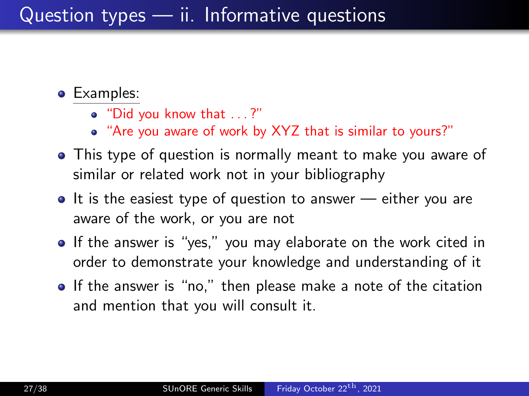### Question types — ii. Informative questions

- **•** Examples:
	- "Did you know that . . . ?"
	- "Are you aware of work by XYZ that is similar to yours?"
- This type of question is normally meant to make you aware of similar or related work not in your bibliography
- $\bullet$  It is the easiest type of question to answer either you are aware of the work, or you are not
- If the answer is "yes," you may elaborate on the work cited in order to demonstrate your knowledge and understanding of it
- If the answer is "no," then please make a note of the citation and mention that you will consult it.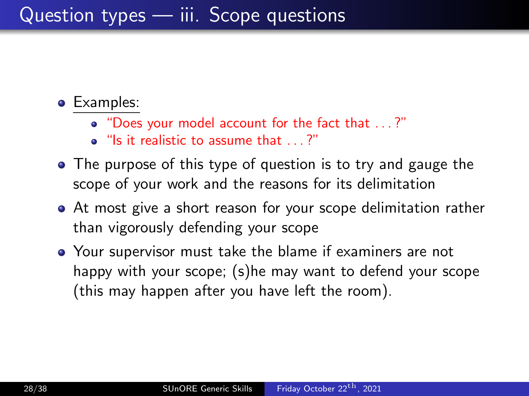### Question types — iii. Scope questions

- "Does your model account for the fact that . . . ?"
- $\bullet$  "Is it realistic to assume that  $\dots$ ?"
- The purpose of this type of question is to try and gauge the scope of your work and the reasons for its delimitation
- At most give a short reason for your scope delimitation rather than vigorously defending your scope
- Your supervisor must take the blame if examiners are not happy with your scope; (s)he may want to defend your scope (this may happen after you have left the room).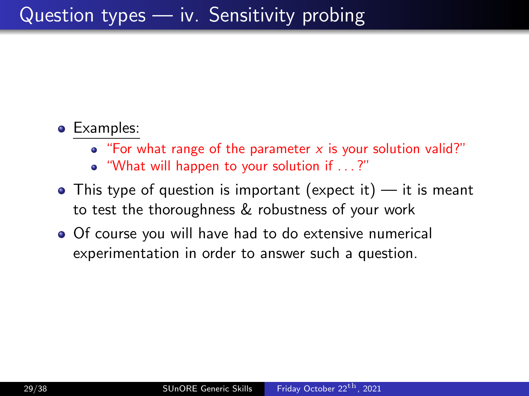- "For what range of the parameter  $x$  is your solution valid?"
- "What will happen to your solution if . . . ?"
- $\bullet$  This type of question is important (expect it) it is meant to test the thoroughness & robustness of your work
- Of course you will have had to do extensive numerical experimentation in order to answer such a question.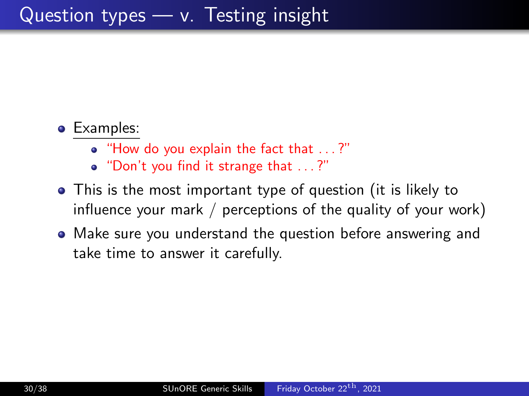- "How do you explain the fact that . . . ?"
- "Don't you find it strange that . . . ?"
- This is the most important type of question (it is likely to influence your mark / perceptions of the quality of your work)
- Make sure you understand the question before answering and take time to answer it carefully.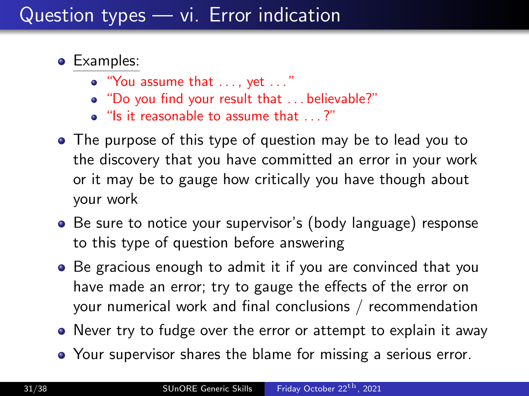### Question types — vi. Error indication

- **•** Examples:
	- "You assume that . . . , yet . . . "
	- "Do you find your result that . . . believable?"
	- "Is it reasonable to assume that . . . ?"
- The purpose of this type of question may be to lead you to the discovery that you have committed an error in your work or it may be to gauge how critically you have though about your work
- Be sure to notice your supervisor's (body language) response to this type of question before answering
- Be gracious enough to admit it if you are convinced that you have made an error; try to gauge the effects of the error on your numerical work and final conclusions / recommendation
- Never try to fudge over the error or attempt to explain it away
- Your supervisor shares the blame for missing a serious error.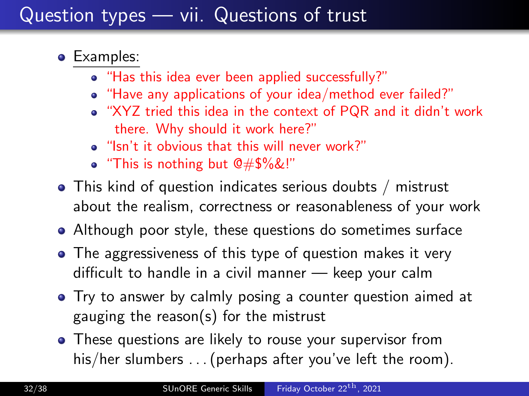### Question types — vii. Questions of trust

- **•** Examples:
	- "Has this idea ever been applied successfully?"
	- "Have any applications of your idea/method ever failed?"
	- "XYZ tried this idea in the context of PQR and it didn't work there. Why should it work here?"
	- "Isn't it obvious that this will never work?"
	- "This is nothing but @#\$%&!"
- This kind of question indicates serious doubts / mistrust about the realism, correctness or reasonableness of your work
- Although poor style, these questions do sometimes surface
- The aggressiveness of this type of question makes it very difficult to handle in a civil manner — keep your calm
- Try to answer by calmly posing a counter question aimed at gauging the reason(s) for the mistrust
- These questions are likely to rouse your supervisor from his/her slumbers ... (perhaps after you've left the room).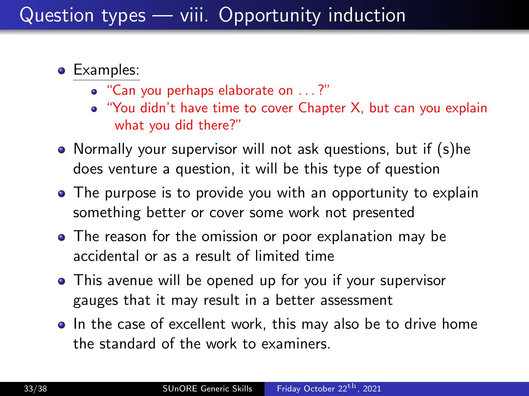### Question types — viii. Opportunity induction

- **•** Examples:
	- "Can you perhaps elaborate on . . . ?"
	- "You didn't have time to cover Chapter X, but can you explain what you did there?"
- Normally your supervisor will not ask questions, but if (s)he does venture a question, it will be this type of question
- The purpose is to provide you with an opportunity to explain something better or cover some work not presented
- The reason for the omission or poor explanation may be accidental or as a result of limited time
- This avenue will be opened up for you if your supervisor gauges that it may result in a better assessment
- In the case of excellent work, this may also be to drive home the standard of the work to examiners.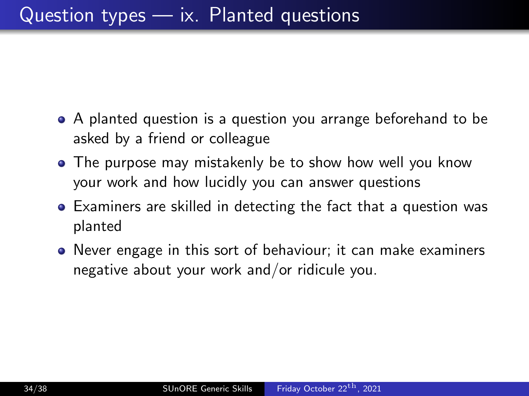- A planted question is a question you arrange beforehand to be asked by a friend or colleague
- The purpose may mistakenly be to show how well you know your work and how lucidly you can answer questions
- Examiners are skilled in detecting the fact that a question was planted
- Never engage in this sort of behaviour; it can make examiners negative about your work and/or ridicule you.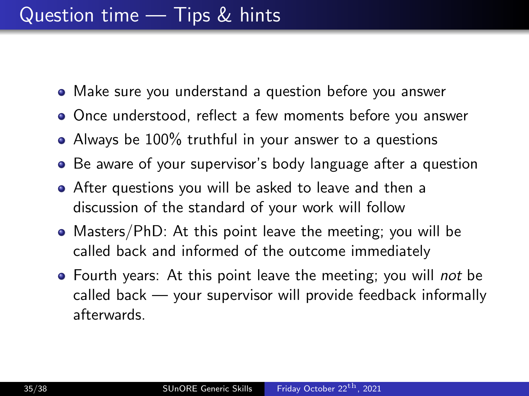- Make sure you understand a question before you answer
- Once understood, reflect a few moments before you answer
- Always be 100% truthful in your answer to a questions
- Be aware of your supervisor's body language after a question
- After questions you will be asked to leave and then a discussion of the standard of your work will follow
- Masters/PhD: At this point leave the meeting; you will be called back and informed of the outcome immediately
- Fourth years: At this point leave the meeting; you will *not* be called back — your supervisor will provide feedback informally afterwards.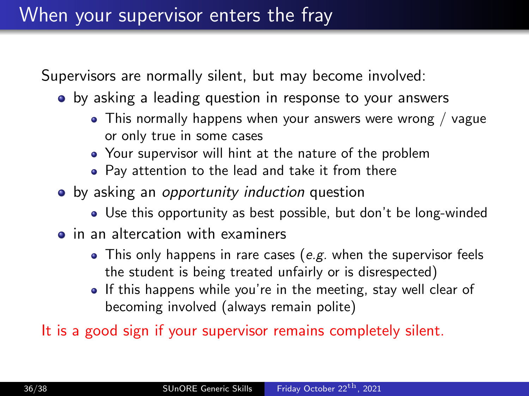Supervisors are normally silent, but may become involved:

- by asking a leading question in response to your answers
	- This normally happens when your answers were wrong / vague or only true in some cases
	- Your supervisor will hint at the nature of the problem
	- Pay attention to the lead and take it from there
- by asking an opportunity induction question
	- Use this opportunity as best possible, but don't be long-winded
- **•** in an altercation with examiners
	- This only happens in rare cases (e.g. when the supervisor feels the student is being treated unfairly or is disrespected)
	- If this happens while you're in the meeting, stay well clear of becoming involved (always remain polite)

It is a good sign if your supervisor remains completely silent.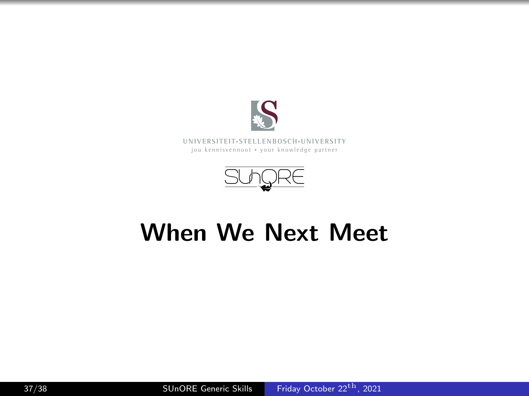

**UNI V E R SI T EI T**• **S T E L L EN BO S CH**•**UNI V E R SI T Y** jou kennisvennoot • your knowledge partner



# When We Next Meet

37/38 SUnORE Generic Skills [Friday October 22](#page-0-0)<sup>th</sup>, 2021